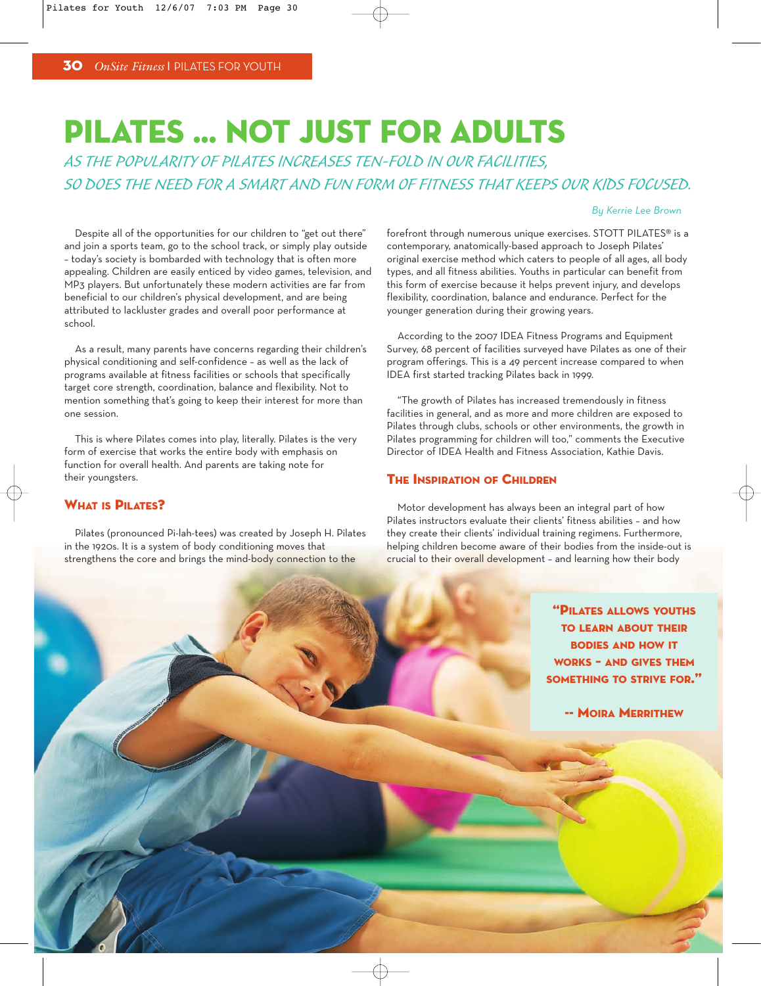# PILATES … NOT JUST FOR ADULTS

AS THE POPULARITY OF PILATES INCREASES TEN-FOLD IN OUR FACILITIES, SO DOES THE NEED FOR A SMART AND FUN FORM OF FITNESS THAT KEEPS OUR KIDS FOCUSED.

#### *By Kerrie Lee Brown*

Despite all of the opportunities for our children to "get out there" and join a sports team, go to the school track, or simply play outside – today's society is bombarded with technology that is often more appealing. Children are easily enticed by video games, television, and MP3 players. But unfortunately these modern activities are far from beneficial to our children's physical development, and are being attributed to lackluster grades and overall poor performance at school.

As a result, many parents have concerns regarding their children's physical conditioning and self-confidence – as well as the lack of programs available at fitness facilities or schools that specifically target core strength, coordination, balance and flexibility. Not to mention something that's going to keep their interest for more than one session.

This is where Pilates comes into play, literally. Pilates is the very form of exercise that works the entire body with emphasis on function for overall health. And parents are taking note for their youngsters.

## WHAT IS **DILATES?**

Pilates (pronounced Pi-lah-tees) was created by Joseph H. Pilates in the 1920s. It is a system of body conditioning moves that strengthens the core and brings the mind-body connection to the

forefront through numerous unique exercises. STOTT PILATES® is a contemporary, anatomically-based approach to Joseph Pilates' original exercise method which caters to people of all ages, all body types, and all fitness abilities. Youths in particular can benefit from this form of exercise because it helps prevent injury, and develops flexibility, coordination, balance and endurance. Perfect for the younger generation during their growing years.

According to the 2007 IDEA Fitness Programs and Equipment Survey, 68 percent of facilities surveyed have Pilates as one of their program offerings. This is a 49 percent increase compared to when IDEA first started tracking Pilates back in 1999.

"The growth of Pilates has increased tremendously in fitness facilities in general, and as more and more children are exposed to Pilates through clubs, schools or other environments, the growth in Pilates programming for children will too," comments the Executive Director of IDEA Health and Fitness Association, Kathie Davis.

#### **THE INSPIRATION OF CHILDREN**

Motor development has always been an integral part of how Pilates instructors evaluate their clients' fitness abilities – and how they create their clients' individual training regimens. Furthermore, helping children become aware of their bodies from the inside-out is crucial to their overall development – and learning how their body

> "PILATES ALLOWS YOUTHS TO LEARN ABOUT THEIR BODIES AND HOW IT WORKS – AND GIVES THEM SOMETHING TO STRIVE FOR."

> > -- MOIRA MERRITHEW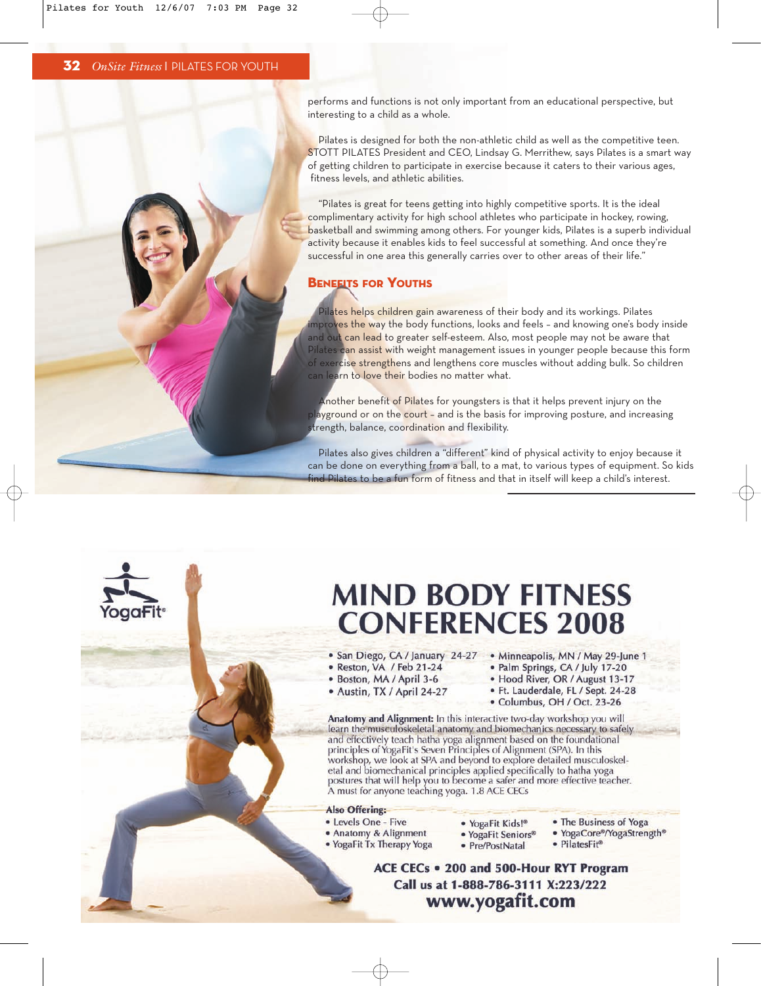performs and functions is not only important from an educational perspective, but interesting to a child as a whole.

Pilates is designed for both the non-athletic child as well as the competitive teen. STOTT PILATES President and CEO, Lindsay G. Merrithew, says Pilates is a smart way of getting children to participate in exercise because it caters to their various ages, fitness levels, and athletic abilities.

"Pilates is great for teens getting into highly competitive sports. It is the ideal complimentary activity for high school athletes who participate in hockey, rowing, basketball and swimming among others. For younger kids, Pilates is a superb individual activity because it enables kids to feel successful at something. And once they're successful in one area this generally carries over to other areas of their life."

#### **BENEFITS FOR YOUTHS**

Pilates helps children gain awareness of their body and its workings. Pilates improves the way the body functions, looks and feels – and knowing one's body inside and out can lead to greater self-esteem. Also, most people may not be aware that Pilates can assist with weight management issues in younger people because this form of exercise strengthens and lengthens core muscles without adding bulk. So children can learn to love their bodies no matter what.

Another benefit of Pilates for youngsters is that it helps prevent injury on the layground or on the court - and is the basis for improving posture, and increasing trength, balance, coordination and flexibility.

Pilates also gives children a "different" kind of physical activity to enjoy because it can be done on everything from a ball, to a mat, to various types of equipment. So kids find Pilates to be a fun form of fitness and that in itself will keep a child's interest.



- 
- · Reston, VA / Feb 21-24
- · Boston, MA / April 3-6
- · Austin, TX / April 24-27
- . San Diego, CA / January 24-27 . Minneapolis, MN / May 29-June 1
	- · Palm Springs, CA / July 17-20
	- . Hood River, OR / August 13-17
	- · Ft. Lauderdale, FL / Sept. 24-28
	- · Columbus, OH / Oct. 23-26

Anatomy and Alignment: In this interactive two-day workshop you will learn the musculoskeletal anatomy and biomechanics necessary to safely and effectively teach hatha yoga alignment based on the foundational principles of YogaFit's Seven Principles of Alignment (SPA). In this workshop, we look at SPA and beyond to explore detailed musculoskeletal and biomechanical principles applied specifically to hatha yoga postures that will help you to become a safer and more effective teacher.<br>A must for anyone teaching yoga. 1.8 ACE CECs

#### **Also Offering:**

- Levels One Five
- Anatomy & Alignment
- . YogaFit Tx Therapy Yoga
- · YogaFit Kids!® · YogaFit Seniors® • Pre/PostNatal
- -

ACE CECs . 200 and 500-Hour RYT Program Call us at 1-888-786-3111 X:223/222 www.yogafit.com

- 
- The Business of Yoga
	- · YogaCore®/YogaStrength®
	- · PilatesFit<sup>®</sup>